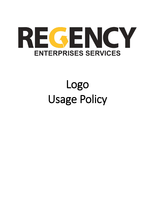

## Logo Usage Policy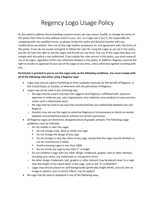## Regency Logo Usage Policy

As the need to address future branding concerns arises, we may cancel, modify, or change the terms of this policy from time to time without notice to you. You, as a Logo user ("you"), are responsible for complying with any modified terms, so please review this policy and become familiar with any modifications we publish. Your use of any Logo implies acceptance of, and agreement with, the terms of this policy. If you do not accept and agree to follow the rules for using the Logos as set out in this policy, you do not have the right to use the Logos and should not use them. Any use of the Logos that does not comply with this policy is not authorized. If you violate the rules set out in this policy, you must cease all use of all Logos, regardless of the uses otherwise allowed in this policy. In addition, Regency reserves the right to revoke its approval of your use of the Logos at any time, unless otherwise agreed in writing with you.

## **Permission is granted to you to use the Logos only on the following conditions. You must comply with all of the following rules when using a Regency Logo:**

- Logos may only be used in marketing or other publicity materials for the benefit of Regency, in the United States or Canada, or otherwise with the permission of Regency.
- Logos may not be used in any confusing way.
	- $\circ$  No Logo may be used in any way that suggests that Regency is affiliated with, sponsors, approves or endorses you, your organization, your websites, your products or your services, unless such a relationship exists.
	- $\circ$  No Logo may be used in any way that mischaracterizes any relationship between you and Regency.
	- $\circ$  Vendors may not use the Logos to advertise Regency or its businesses as clients on vendor websites and promotional pieces without our written permission.
- All Regency Logos are distinctive, designed pieces of graphic artwork. The following usage guidelines must be followed:
	- o Do not modify or alter the Logos
		- Do not change scale, skew or rotate any Logo
		- Do not change the design of any Logo
		- Do not change or vary the colors of any Logo, except that the Logos may be all black or can be reversed out in white.
		- **Avoid screening Logos to less than 100%**
		- Do not shrink any Logo to less than 1" in height
	- $\circ$  Do not combine a Logo with any other design, trademark, graphic, text or other element, including your name, any trademarks or any generic terms.
	- $\circ$  No other design, trademark, text, graphic or other element may be placed closer to a Logo than the height of the tallest letter in the Logo, such as the "E" in REGENCY.
	- $\circ$  Logos may only be placed on solid backgrounds (preferably bright white), and not over an image or pattern, and no artistic effects may be applied.
- No Logo may be used or displayed in any of the following ways: